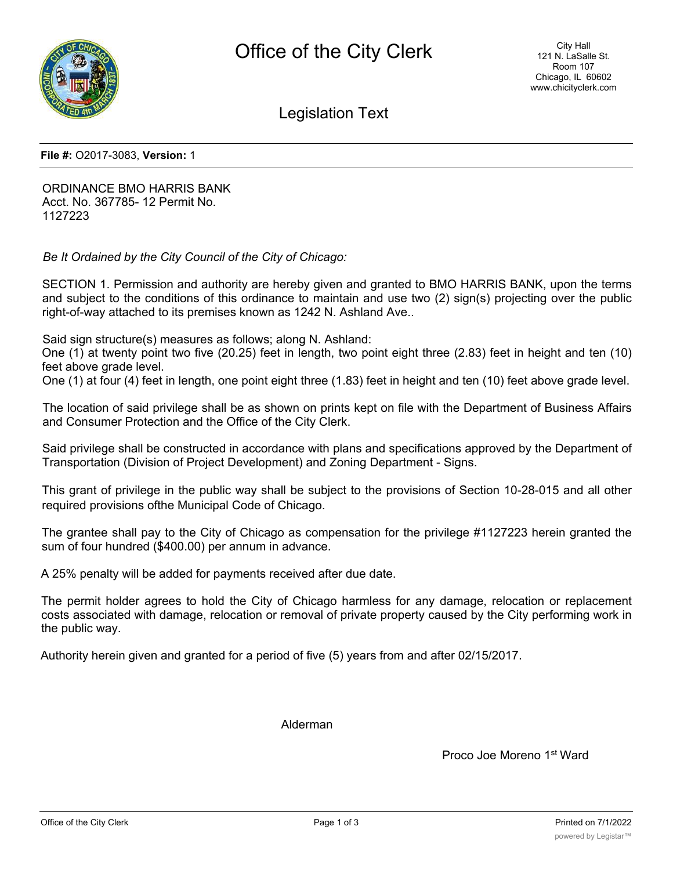

Legislation Text

**File #:** O2017-3083, **Version:** 1

ORDINANCE BMO HARRIS BANK Acct. No. 367785- 12 Permit No. 1127223

*Be It Ordained by the City Council of the City of Chicago:*

SECTION 1. Permission and authority are hereby given and granted to BMO HARRIS BANK, upon the terms and subject to the conditions of this ordinance to maintain and use two (2) sign(s) projecting over the public right-of-way attached to its premises known as 1242 N. Ashland Ave..

Said sign structure(s) measures as follows; along N. Ashland:

One (1) at twenty point two five (20.25) feet in length, two point eight three (2.83) feet in height and ten (10) feet above grade level.

One (1) at four (4) feet in length, one point eight three (1.83) feet in height and ten (10) feet above grade level.

The location of said privilege shall be as shown on prints kept on file with the Department of Business Affairs and Consumer Protection and the Office of the City Clerk.

Said privilege shall be constructed in accordance with plans and specifications approved by the Department of Transportation (Division of Project Development) and Zoning Department - Signs.

This grant of privilege in the public way shall be subject to the provisions of Section 10-28-015 and all other required provisions ofthe Municipal Code of Chicago.

The grantee shall pay to the City of Chicago as compensation for the privilege #1127223 herein granted the sum of four hundred (\$400.00) per annum in advance.

A 25% penalty will be added for payments received after due date.

The permit holder agrees to hold the City of Chicago harmless for any damage, relocation or replacement costs associated with damage, relocation or removal of private property caused by the City performing work in the public way.

Authority herein given and granted for a period of five (5) years from and after 02/15/2017.

Alderman

Proco Joe Moreno 1<sup>st</sup> Ward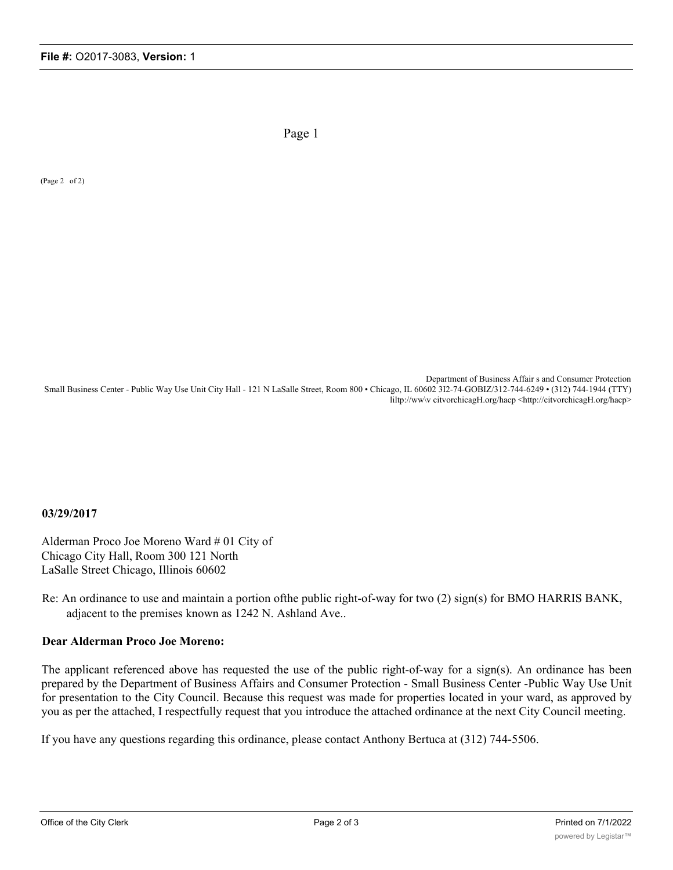Page 1

(Page 2 of 2)

Department of Business Affair s and Consumer Protection Small Business Center - Public Way Use Unit City Hall - 121 N LaSalle Street, Room 800 • Chicago, IL 60602 3I2-74-GOBIZ/312-744-6249 • (312) 744-1944 (TTY) liltp://ww\v citvorchicagH.org/hacp <http://citvorchicagH.org/hacp>

## **03/29/2017**

Alderman Proco Joe Moreno Ward # 01 City of Chicago City Hall, Room 300 121 North LaSalle Street Chicago, Illinois 60602

Re: An ordinance to use and maintain a portion ofthe public right-of-way for two (2) sign(s) for BMO HARRIS BANK, adjacent to the premises known as 1242 N. Ashland Ave..

## **Dear Alderman Proco Joe Moreno:**

The applicant referenced above has requested the use of the public right-of-way for a sign(s). An ordinance has been prepared by the Department of Business Affairs and Consumer Protection - Small Business Center -Public Way Use Unit for presentation to the City Council. Because this request was made for properties located in your ward, as approved by you as per the attached, I respectfully request that you introduce the attached ordinance at the next City Council meeting.

If you have any questions regarding this ordinance, please contact Anthony Bertuca at (312) 744-5506.